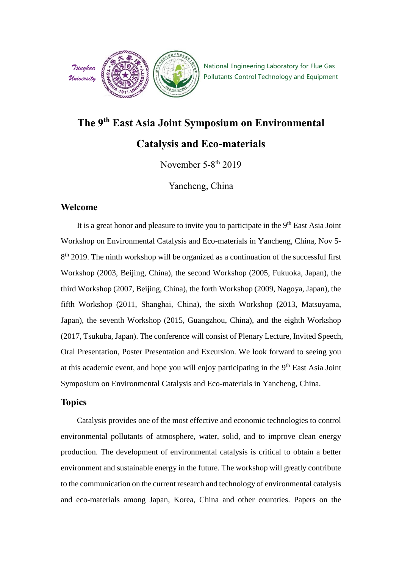

# **The 9th East Asia Joint Symposium on Environmental**

### **Catalysis and Eco-materials**

November 5-8<sup>th</sup> 2019

Yancheng, China

#### **Welcome**

It is a great honor and pleasure to invite you to participate in the 9<sup>th</sup> East Asia Joint Workshop on Environmental Catalysis and Eco-materials in Yancheng, China, Nov 5- 8<sup>th</sup> 2019. The ninth workshop will be organized as a continuation of the successful first Workshop (2003, Beijing, China), the second Workshop (2005, Fukuoka, Japan), the third Workshop (2007, Beijing, China), the forth Workshop (2009, Nagoya, Japan), the fifth Workshop (2011, Shanghai, China), the sixth Workshop (2013, Matsuyama, Japan), the seventh Workshop (2015, Guangzhou, China), and the eighth Workshop (2017, Tsukuba, Japan). The conference will consist of Plenary Lecture, Invited Speech, Oral Presentation, Poster Presentation and Excursion. We look forward to seeing you at this academic event, and hope you will enjoy participating in the 9<sup>th</sup> East Asia Joint Symposium on Environmental Catalysis and Eco-materials in Yancheng, China.

### **Topics**

Catalysis provides one of the most effective and economic technologies to control environmental pollutants of atmosphere, water, solid, and to improve clean energy production. The development of environmental catalysis is critical to obtain a better environment and sustainable energy in the future. The workshop will greatly contribute to the communication on the current research and technology of environmental catalysis and eco-materials among Japan, Korea, China and other countries. Papers on the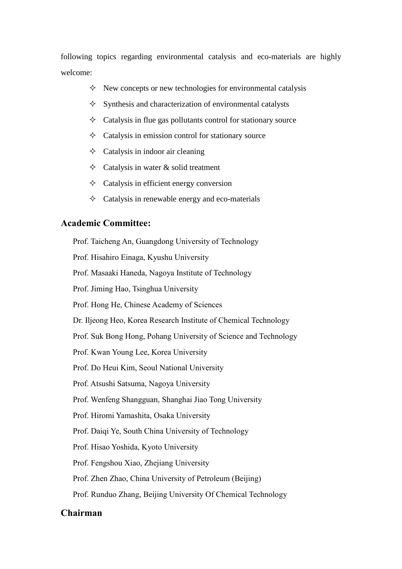following topics regarding environmental catalysis and eco-materials are highly welcome:

- $\Diamond$  New concepts or new technologies for environmental catalysis
- $\Diamond$  Synthesis and characterization of environmental catalysts
- $\Diamond$  Catalysis in flue gas pollutants control for stationary source
- $\Diamond$  Catalysis in emission control for stationary source
- $\Diamond$  Catalysis in indoor air cleaning
- $\Diamond$  Catalysis in water & solid treatment
- $\Diamond$  Catalysis in efficient energy conversion
- $\Diamond$  Catalysis in renewable energy and eco-materials

### **Academic Committee:**

Prof. Taicheng An, Guangdong University of Technology Prof. Hisahiro Einaga, Kyushu University Prof. Masaaki Haneda, Nagoya Institute of Technology Prof. Jiming Hao, Tsinghua University Prof. Hong He, Chinese Academy of Sciences Dr. Iljeong Heo, Korea Research Institute of Chemical Technology Prof. Suk Bong Hong, Pohang University of Science and Technology Prof. Kwan Young Lee, Korea University Prof. Do Heui Kim, Seoul National University Prof. Atsushi Satsuma, Nagoya University Prof. Wenfeng Shangguan, Shanghai Jiao Tong University Prof. Hiromi Yamashita, Osaka University Prof. Daiqi Ye, South China University of Technology Prof. Hisao Yoshida, Kyoto University Prof. Fengshou Xiao, Zhejiang University Prof. Zhen Zhao, China University of Petroleum (Beijing) Prof. Runduo Zhang, Beijing University Of Chemical Technology

#### **Chairman**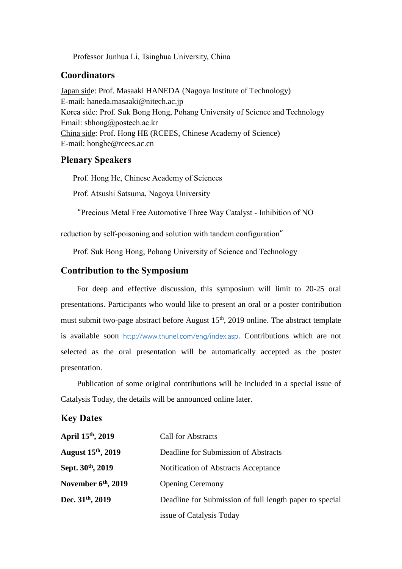Professor Junhua Li, Tsinghua University, China

#### **Coordinators**

Japan side: Prof. Masaaki HANEDA (Nagoya Institute of Technology) E-mail: haneda.masaaki@nitech.ac.jp Korea side: Prof. Suk Bong Hong, Pohang University of Science and Technology Email: sbhong@postech.ac.kr China side: Prof. Hong HE (RCEES, Chinese Academy of Science) E-mail: honghe@rcees.ac.cn

#### **Plenary Speakers**

Prof. Hong He, Chinese Academy of Sciences

Prof. Atsushi Satsuma, Nagoya University

"Precious Metal Free Automotive Three Way Catalyst - Inhibition of NO

reduction by self-poisoning and solution with tandem configuration"

Prof. Suk Bong Hong, Pohang University of Science and Technology

#### **Contribution to the Symposium**

For deep and effective discussion, this symposium will limit to 20-25 oral presentations. Participants who would like to present an oral or a poster contribution must submit two-page abstract before August 15<sup>th</sup>, 2019 online. The abstract template is available soon <http://www.thunel.com/eng/index.asp>. Contributions which are not selected as the oral presentation will be automatically accepted as the poster presentation.

Publication of some original contributions will be included in a special issue of Catalysis Today, the details will be announced online later.

#### **Key Dates**

| April 15th, 2019         | <b>Call for Abstracts</b>                               |  |
|--------------------------|---------------------------------------------------------|--|
| <b>August 15th, 2019</b> | Deadline for Submission of Abstracts                    |  |
| Sept. 30th, 2019         | Notification of Abstracts Acceptance                    |  |
| November $6th$ , 2019    | <b>Opening Ceremony</b>                                 |  |
| Dec. $31th$ , 2019       | Deadline for Submission of full length paper to special |  |
|                          | issue of Catalysis Today                                |  |